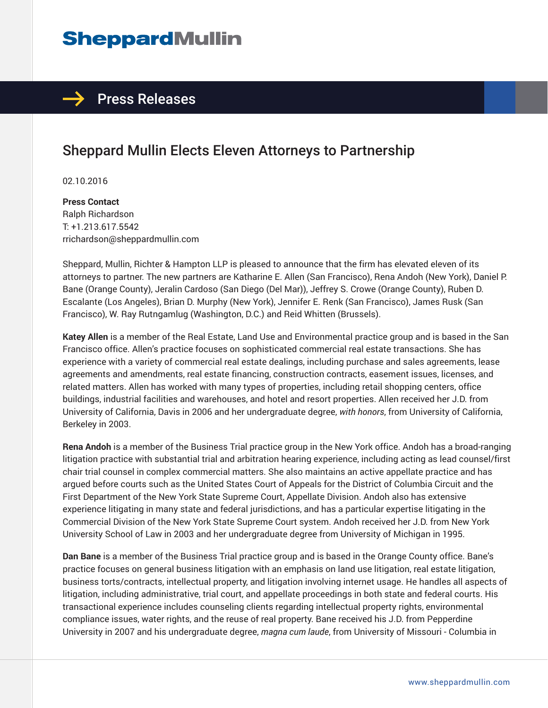# **SheppardMullin**

### $\rightarrow$  Press Releases

# Sheppard Mullin Elects Eleven Attorneys to Partnership

02.10.2016

**Press Contact** Ralph Richardson T: +1.213.617.5542 rrichardson@sheppardmullin.com

Sheppard, Mullin, Richter & Hampton LLP is pleased to announce that the firm has elevated eleven of its attorneys to partner. The new partners are Katharine E. Allen (San Francisco), Rena Andoh (New York), Daniel P. Bane (Orange County), Jeralin Cardoso (San Diego (Del Mar)), Jeffrey S. Crowe (Orange County), Ruben D. Escalante (Los Angeles), Brian D. Murphy (New York), Jennifer E. Renk (San Francisco), James Rusk (San Francisco), W. Ray Rutngamlug (Washington, D.C.) and Reid Whitten (Brussels).

**Katey Allen** is a member of the Real Estate, Land Use and Environmental practice group and is based in the San Francisco office. Allen's practice focuses on sophisticated commercial real estate transactions. She has experience with a variety of commercial real estate dealings, including purchase and sales agreements, lease agreements and amendments, real estate financing, construction contracts, easement issues, licenses, and related matters. Allen has worked with many types of properties, including retail shopping centers, office buildings, industrial facilities and warehouses, and hotel and resort properties. Allen received her J.D. from University of California, Davis in 2006 and her undergraduate degree, *with honors*, from University of California, Berkeley in 2003.

**Rena Andoh** is a member of the Business Trial practice group in the New York office. Andoh has a broad-ranging litigation practice with substantial trial and arbitration hearing experience, including acting as lead counsel/first chair trial counsel in complex commercial matters. She also maintains an active appellate practice and has argued before courts such as the United States Court of Appeals for the District of Columbia Circuit and the First Department of the New York State Supreme Court, Appellate Division. Andoh also has extensive experience litigating in many state and federal jurisdictions, and has a particular expertise litigating in the Commercial Division of the New York State Supreme Court system. Andoh received her J.D. from New York University School of Law in 2003 and her undergraduate degree from University of Michigan in 1995.

**Dan Bane** is a member of the Business Trial practice group and is based in the Orange County office. Bane's practice focuses on general business litigation with an emphasis on land use litigation, real estate litigation, business torts/contracts, intellectual property, and litigation involving internet usage. He handles all aspects of litigation, including administrative, trial court, and appellate proceedings in both state and federal courts. His transactional experience includes counseling clients regarding intellectual property rights, environmental compliance issues, water rights, and the reuse of real property. Bane received his J.D. from Pepperdine University in 2007 and his undergraduate degree, *magna cum laude*, from University of Missouri - Columbia in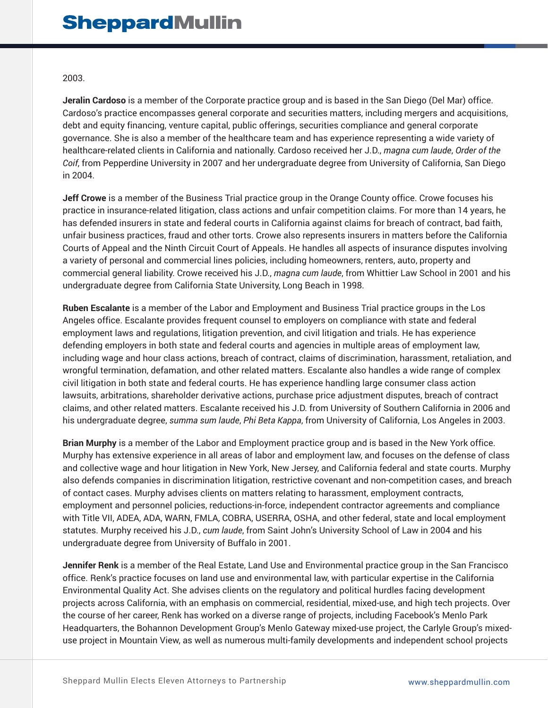#### 2003.

**Jeralin Cardoso** is a member of the Corporate practice group and is based in the San Diego (Del Mar) office. Cardoso's practice encompasses general corporate and securities matters, including mergers and acquisitions, debt and equity financing, venture capital, public offerings, securities compliance and general corporate governance. She is also a member of the healthcare team and has experience representing a wide variety of healthcare-related clients in California and nationally. Cardoso received her J.D., *magna cum laude*, *Order of the Coif*, from Pepperdine University in 2007 and her undergraduate degree from University of California, San Diego in 2004.

**Jeff Crowe** is a member of the Business Trial practice group in the Orange County office. Crowe focuses his practice in insurance-related litigation, class actions and unfair competition claims. For more than 14 years, he has defended insurers in state and federal courts in California against claims for breach of contract, bad faith, unfair business practices, fraud and other torts. Crowe also represents insurers in matters before the California Courts of Appeal and the Ninth Circuit Court of Appeals. He handles all aspects of insurance disputes involving a variety of personal and commercial lines policies, including homeowners, renters, auto, property and commercial general liability. Crowe received his J.D., *magna cum laude*, from Whittier Law School in 2001 and his undergraduate degree from California State University, Long Beach in 1998.

**Ruben Escalante** is a member of the Labor and Employment and Business Trial practice groups in the Los Angeles office. Escalante provides frequent counsel to employers on compliance with state and federal employment laws and regulations, litigation prevention, and civil litigation and trials. He has experience defending employers in both state and federal courts and agencies in multiple areas of employment law, including wage and hour class actions, breach of contract, claims of discrimination, harassment, retaliation, and wrongful termination, defamation, and other related matters. Escalante also handles a wide range of complex civil litigation in both state and federal courts. He has experience handling large consumer class action lawsuits, arbitrations, shareholder derivative actions, purchase price adjustment disputes, breach of contract claims, and other related matters. Escalante received his J.D. from University of Southern California in 2006 and his undergraduate degree, *summa sum laude*, *Phi Beta Kappa*, from University of California, Los Angeles in 2003.

**Brian Murphy** is a member of the Labor and Employment practice group and is based in the New York office. Murphy has extensive experience in all areas of labor and employment law, and focuses on the defense of class and collective wage and hour litigation in New York, New Jersey, and California federal and state courts. Murphy also defends companies in discrimination litigation, restrictive covenant and non-competition cases, and breach of contact cases. Murphy advises clients on matters relating to harassment, employment contracts, employment and personnel policies, reductions-in-force, independent contractor agreements and compliance with Title VII, ADEA, ADA, WARN, FMLA, COBRA, USERRA, OSHA, and other federal, state and local employment statutes. Murphy received his J.D., *cum laude*, from Saint John's University School of Law in 2004 and his undergraduate degree from University of Buffalo in 2001.

**Jennifer Renk** is a member of the Real Estate, Land Use and Environmental practice group in the San Francisco office. Renk's practice focuses on land use and environmental law, with particular expertise in the California Environmental Quality Act. She advises clients on the regulatory and political hurdles facing development projects across California, with an emphasis on commercial, residential, mixed-use, and high tech projects. Over the course of her career, Renk has worked on a diverse range of projects, including Facebook's Menlo Park Headquarters, the Bohannon Development Group's Menlo Gateway mixed-use project, the Carlyle Group's mixeduse project in Mountain View, as well as numerous multi-family developments and independent school projects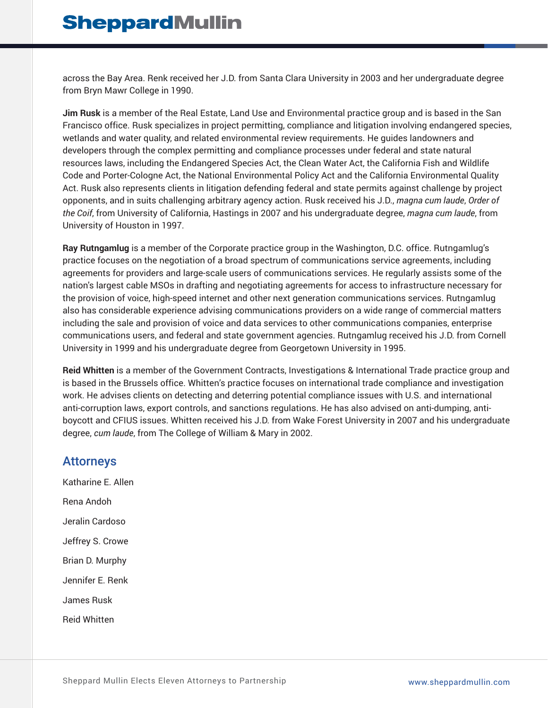across the Bay Area. Renk received her J.D. from Santa Clara University in 2003 and her undergraduate degree from Bryn Mawr College in 1990.

**Jim Rusk** is a member of the Real Estate, Land Use and Environmental practice group and is based in the San Francisco office. Rusk specializes in project permitting, compliance and litigation involving endangered species, wetlands and water quality, and related environmental review requirements. He guides landowners and developers through the complex permitting and compliance processes under federal and state natural resources laws, including the Endangered Species Act, the Clean Water Act, the California Fish and Wildlife Code and Porter-Cologne Act, the National Environmental Policy Act and the California Environmental Quality Act. Rusk also represents clients in litigation defending federal and state permits against challenge by project opponents, and in suits challenging arbitrary agency action. Rusk received his J.D., *magna cum laude*, *Order of the Coif*, from University of California, Hastings in 2007 and his undergraduate degree, *magna cum laude*, from University of Houston in 1997.

**Ray Rutngamlug** is a member of the Corporate practice group in the Washington, D.C. office. Rutngamlug's practice focuses on the negotiation of a broad spectrum of communications service agreements, including agreements for providers and large-scale users of communications services. He regularly assists some of the nation's largest cable MSOs in drafting and negotiating agreements for access to infrastructure necessary for the provision of voice, high-speed internet and other next generation communications services. Rutngamlug also has considerable experience advising communications providers on a wide range of commercial matters including the sale and provision of voice and data services to other communications companies, enterprise communications users, and federal and state government agencies. Rutngamlug received his J.D. from Cornell University in 1999 and his undergraduate degree from Georgetown University in 1995.

**Reid Whitten** is a member of the Government Contracts, Investigations & International Trade practice group and is based in the Brussels office. Whitten's practice focuses on international trade compliance and investigation work. He advises clients on detecting and deterring potential compliance issues with U.S. and international anti-corruption laws, export controls, and sanctions regulations. He has also advised on anti-dumping, antiboycott and CFIUS issues. Whitten received his J.D. from Wake Forest University in 2007 and his undergraduate degree, *cum laude*, from The College of William & Mary in 2002.

### Attorneys

Katharine E. Allen Rena Andoh Jeralin Cardoso Jeffrey S. Crowe Brian D. Murphy Jennifer E. Renk James Rusk Reid Whitten